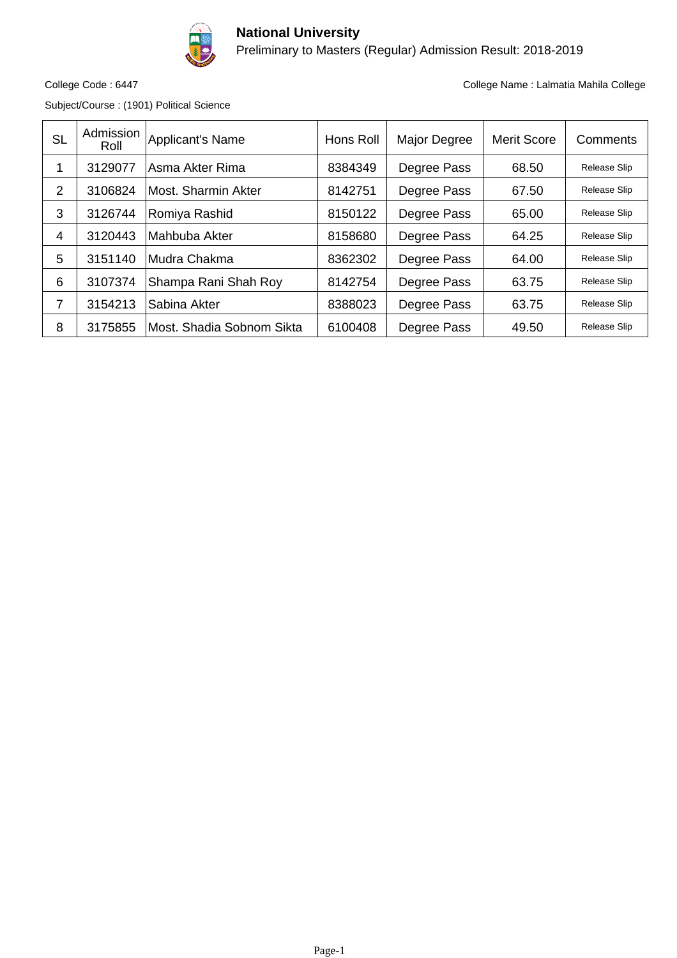

Preliminary to Masters (Regular) Admission Result: 2018-2019

Subject/Course : (1901) Political Science

| <b>SL</b> | Admission<br>Roll | Applicant's Name          | Hons Roll | Major Degree | <b>Merit Score</b> | Comments            |
|-----------|-------------------|---------------------------|-----------|--------------|--------------------|---------------------|
| 1         | 3129077           | Asma Akter Rima           | 8384349   | Degree Pass  | 68.50              | <b>Release Slip</b> |
| 2         | 3106824           | Most. Sharmin Akter       | 8142751   | Degree Pass  | 67.50              | Release Slip        |
| 3         | 3126744           | Romiya Rashid             | 8150122   | Degree Pass  | 65.00              | Release Slip        |
| 4         | 3120443           | Mahbuba Akter             | 8158680   | Degree Pass  | 64.25              | Release Slip        |
| 5         | 3151140           | Mudra Chakma              | 8362302   | Degree Pass  | 64.00              | Release Slip        |
| 6         | 3107374           | Shampa Rani Shah Roy      | 8142754   | Degree Pass  | 63.75              | Release Slip        |
| 7         | 3154213           | Sabina Akter              | 8388023   | Degree Pass  | 63.75              | Release Slip        |
| 8         | 3175855           | Most. Shadia Sobnom Sikta | 6100408   | Degree Pass  | 49.50              | <b>Release Slip</b> |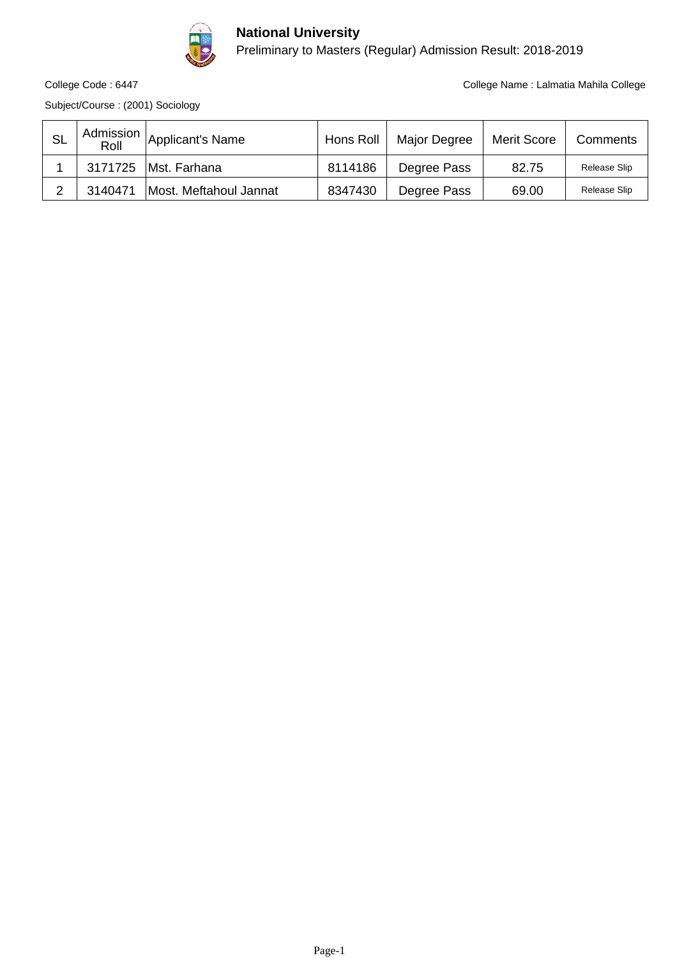

Preliminary to Masters (Regular) Admission Result: 2018-2019

Subject/Course : (2001) Sociology

| <b>SL</b> | Admission<br>Roll | Applicant's Name       | Hons Roll | Major Degree | <b>Merit Score</b> | Comments     |
|-----------|-------------------|------------------------|-----------|--------------|--------------------|--------------|
|           | 3171725           | IMst. Farhana          | 8114186   | Degree Pass  | 82.75              | Release Slip |
|           | 3140471           | Most. Meftahoul Jannat | 8347430   | Degree Pass  | 69.00              | Release Slip |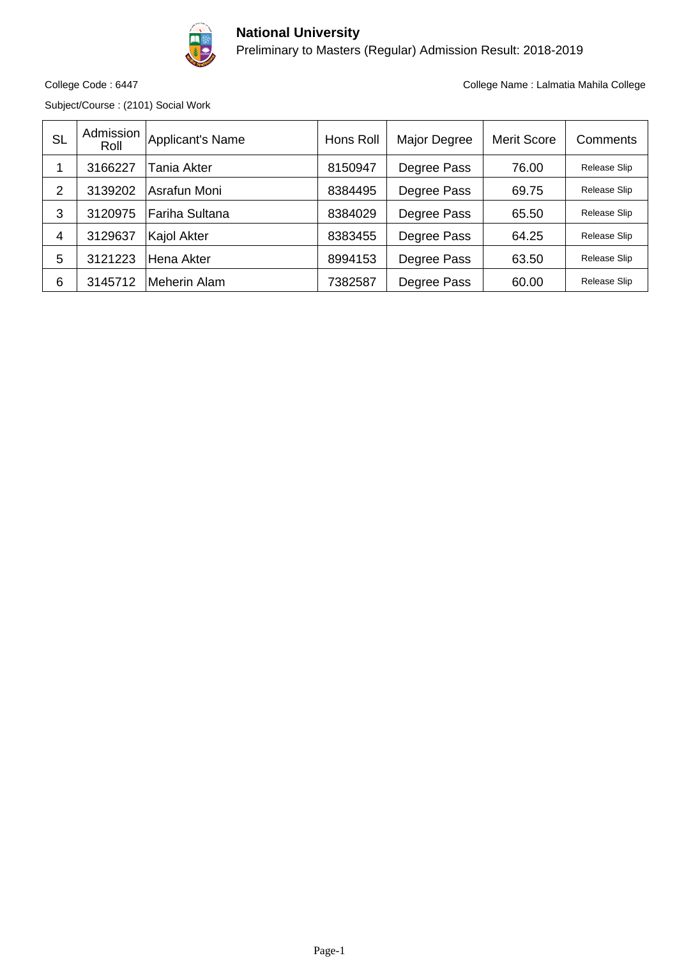

Preliminary to Masters (Regular) Admission Result: 2018-2019

Subject/Course : (2101) Social Work

| <b>SL</b>      | Admission<br>Roll | Applicant's Name | Hons Roll | Major Degree | <b>Merit Score</b> | Comments            |
|----------------|-------------------|------------------|-----------|--------------|--------------------|---------------------|
|                | 3166227           | Tania Akter      | 8150947   | Degree Pass  | 76.00              | Release Slip        |
| $\overline{2}$ | 3139202           | lAsrafun Moni    | 8384495   | Degree Pass  | 69.75              | Release Slip        |
| 3              | 3120975           | ∣Fariha Sultana  | 8384029   | Degree Pass  | 65.50              | Release Slip        |
| $\overline{4}$ | 3129637           | Kajol Akter      | 8383455   | Degree Pass  | 64.25              | Release Slip        |
| 5              | 3121223           | lHena Akter      | 8994153   | Degree Pass  | 63.50              | <b>Release Slip</b> |
| 6              | 3145712           | Meherin Alam     | 7382587   | Degree Pass  | 60.00              | Release Slip        |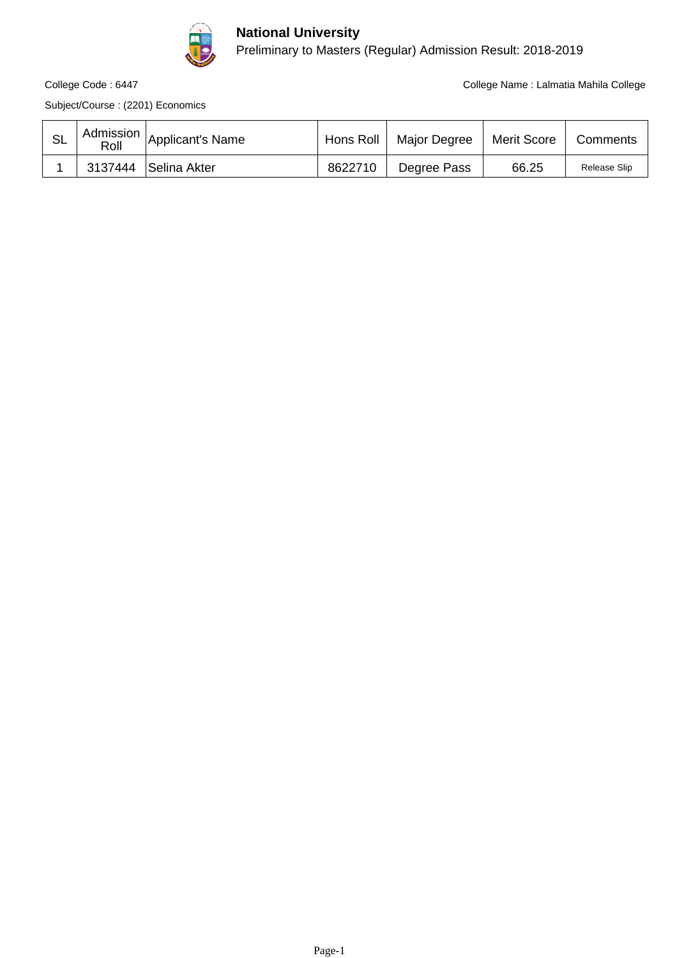

Preliminary to Masters (Regular) Admission Result: 2018-2019

College Code : 6447 College Name : Lalmatia Mahila College

Subject/Course : (2201) Economics

| Roll | $\vert$ $\vert$ Admission $\vert$ Applicant's Name | Hons Roll | Major Degree | Merit Score | Comments     |
|------|----------------------------------------------------|-----------|--------------|-------------|--------------|
|      | 3137444   Selina Akter                             | 8622710   | Degree Pass  | 66.25       | Release Slip |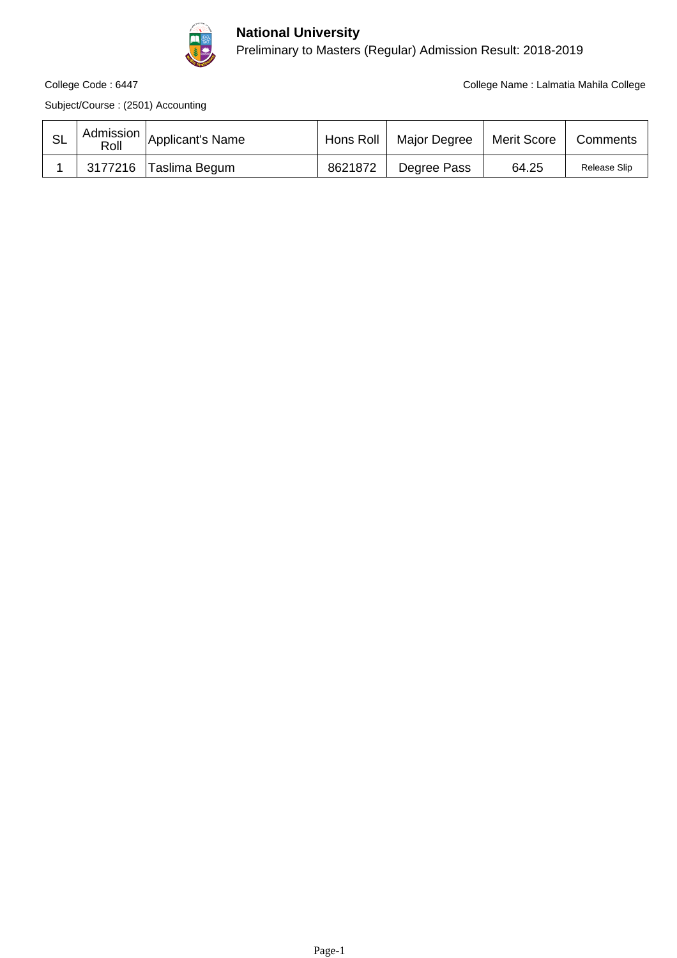

Preliminary to Masters (Regular) Admission Result: 2018-2019

College Code : 6447 College Name : Lalmatia Mahila College

Subject/Course : (2501) Accounting

| Roll | $\vert$ $\vert$ Admission $\vert$ Applicant's Name | Hons Roll | <b>Major Degree</b> | Merit Score | Comments     |
|------|----------------------------------------------------|-----------|---------------------|-------------|--------------|
|      | 3177216 Taslima Begum                              | 8621872   | Degree Pass         | 64.25       | Release Slip |